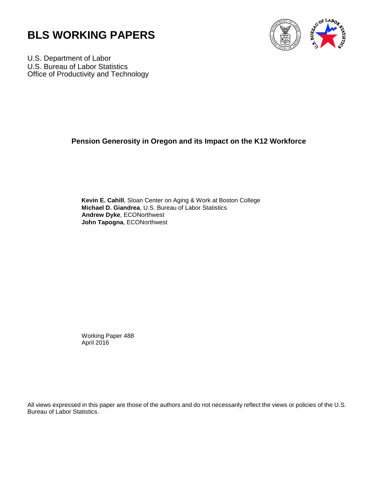



U.S. Department of Labor U.S. Bureau of Labor Statistics Office of Productivity and Technology

# **Pension Generosity in Oregon and its Impact on the K12 Workforce**

 **Kevin E. Cahill**, Sloan Center on Aging & Work at Boston College **Michael D. Giandrea**, U.S. Bureau of Labor Statistics **Andrew Dyke**, ECONorthwest **John Tapogna**, ECONorthwest

 Working Paper 488 April 2016

All views expressed in this paper are those of the authors and do not necessarily reflect the views or policies of the U.S. Bureau of Labor Statistics.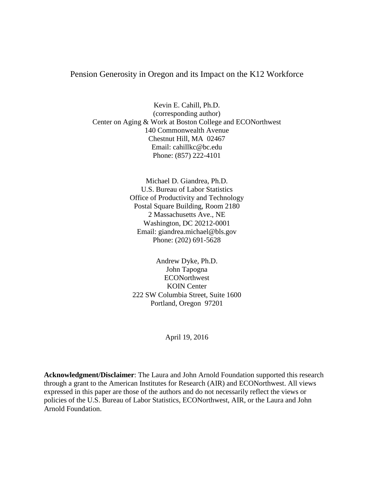Pension Generosity in Oregon and its Impact on the K12 Workforce

Kevin E. Cahill, Ph.D. (corresponding author) Center on Aging & Work at Boston College and ECONorthwest 140 Commonwealth Avenue Chestnut Hill, MA 02467 Email: cahillkc@bc.edu Phone: (857) 222-4101

> Michael D. Giandrea, Ph.D. U.S. Bureau of Labor Statistics Office of Productivity and Technology Postal Square Building, Room 2180 2 Massachusetts Ave., NE Washington, DC 20212-0001 Email: [giandrea.michael@bls.gov](mailto:giandrea.michael@bls.gov) Phone: (202) 691-5628

Andrew Dyke, Ph.D. John Tapogna **ECONorthwest** KOIN Center 222 SW Columbia Street, Suite 1600 Portland, Oregon 97201

April 19, 2016

**Acknowledgment/Disclaimer**: The Laura and John Arnold Foundation supported this research through a grant to the American Institutes for Research (AIR) and ECONorthwest. All views expressed in this paper are those of the authors and do not necessarily reflect the views or policies of the U.S. Bureau of Labor Statistics, ECONorthwest, AIR, or the Laura and John Arnold Foundation.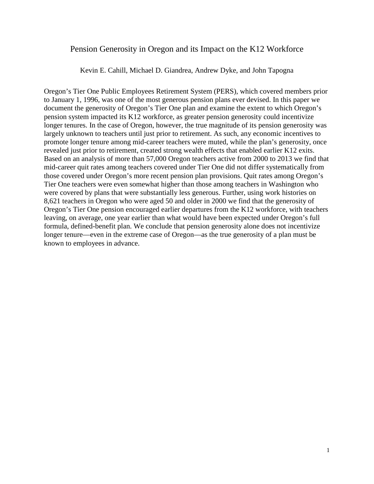## Pension Generosity in Oregon and its Impact on the K12 Workforce

Kevin E. Cahill, Michael D. Giandrea, Andrew Dyke, and John Tapogna

Oregon's Tier One Public Employees Retirement System (PERS), which covered members prior to January 1, 1996, was one of the most generous pension plans ever devised. In this paper we document the generosity of Oregon's Tier One plan and examine the extent to which Oregon's pension system impacted its K12 workforce, as greater pension generosity could incentivize longer tenures. In the case of Oregon, however, the true magnitude of its pension generosity was largely unknown to teachers until just prior to retirement. As such, any economic incentives to promote longer tenure among mid-career teachers were muted, while the plan's generosity, once revealed just prior to retirement, created strong wealth effects that enabled earlier K12 exits. Based on an analysis of more than 57,000 Oregon teachers active from 2000 to 2013 we find that mid-career quit rates among teachers covered under Tier One did not differ systematically from those covered under Oregon's more recent pension plan provisions. Quit rates among Oregon's Tier One teachers were even somewhat higher than those among teachers in Washington who were covered by plans that were substantially less generous. Further, using work histories on 8,621 teachers in Oregon who were aged 50 and older in 2000 we find that the generosity of Oregon's Tier One pension encouraged earlier departures from the K12 workforce, with teachers leaving, on average, one year earlier than what would have been expected under Oregon's full formula, defined-benefit plan. We conclude that pension generosity alone does not incentivize longer tenure—even in the extreme case of Oregon—as the true generosity of a plan must be known to employees in advance.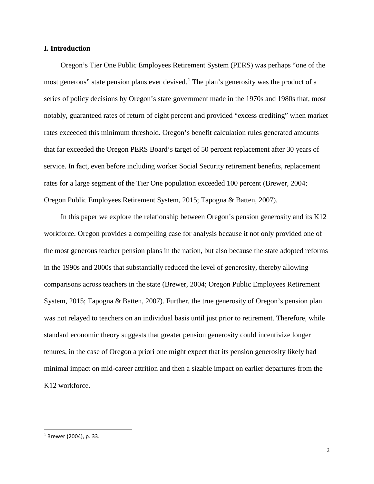### **I. Introduction**

Oregon's Tier One Public Employees Retirement System (PERS) was perhaps "one of the most generous" state pension plans ever devised.<sup>[1](#page-3-0)</sup> The plan's generosity was the product of a series of policy decisions by Oregon's state government made in the 1970s and 1980s that, most notably, guaranteed rates of return of eight percent and provided "excess crediting" when market rates exceeded this minimum threshold. Oregon's benefit calculation rules generated amounts that far exceeded the Oregon PERS Board's target of 50 percent replacement after 30 years of service. In fact, even before including worker Social Security retirement benefits, replacement rates for a large segment of the Tier One population exceeded 100 percent (Brewer, 2004; Oregon Public Employees Retirement System, 2015; Tapogna & Batten, 2007).

In this paper we explore the relationship between Oregon's pension generosity and its K12 workforce. Oregon provides a compelling case for analysis because it not only provided one of the most generous teacher pension plans in the nation, but also because the state adopted reforms in the 1990s and 2000s that substantially reduced the level of generosity, thereby allowing comparisons across teachers in the state (Brewer, 2004; Oregon Public Employees Retirement System, 2015; Tapogna & Batten, 2007). Further, the true generosity of Oregon's pension plan was not relayed to teachers on an individual basis until just prior to retirement. Therefore, while standard economic theory suggests that greater pension generosity could incentivize longer tenures, in the case of Oregon a priori one might expect that its pension generosity likely had minimal impact on mid-career attrition and then a sizable impact on earlier departures from the K<sub>12</sub> workforce.

l

<span id="page-3-0"></span> $1$  Brewer (2004), p. 33.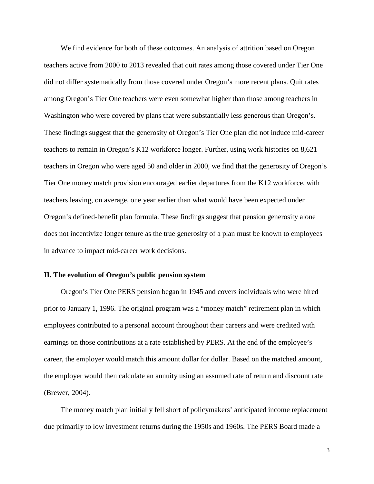We find evidence for both of these outcomes. An analysis of attrition based on Oregon teachers active from 2000 to 2013 revealed that quit rates among those covered under Tier One did not differ systematically from those covered under Oregon's more recent plans. Quit rates among Oregon's Tier One teachers were even somewhat higher than those among teachers in Washington who were covered by plans that were substantially less generous than Oregon's. These findings suggest that the generosity of Oregon's Tier One plan did not induce mid-career teachers to remain in Oregon's K12 workforce longer. Further, using work histories on 8,621 teachers in Oregon who were aged 50 and older in 2000, we find that the generosity of Oregon's Tier One money match provision encouraged earlier departures from the K12 workforce, with teachers leaving, on average, one year earlier than what would have been expected under Oregon's defined-benefit plan formula. These findings suggest that pension generosity alone does not incentivize longer tenure as the true generosity of a plan must be known to employees in advance to impact mid-career work decisions.

### **II. The evolution of Oregon's public pension system**

Oregon's Tier One PERS pension began in 1945 and covers individuals who were hired prior to January 1, 1996. The original program was a "money match" retirement plan in which employees contributed to a personal account throughout their careers and were credited with earnings on those contributions at a rate established by PERS. At the end of the employee's career, the employer would match this amount dollar for dollar. Based on the matched amount, the employer would then calculate an annuity using an assumed rate of return and discount rate (Brewer, 2004).

The money match plan initially fell short of policymakers' anticipated income replacement due primarily to low investment returns during the 1950s and 1960s. The PERS Board made a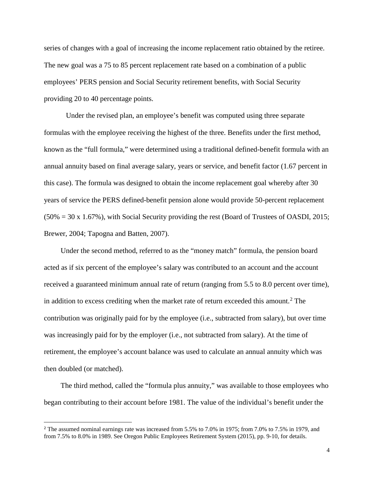series of changes with a goal of increasing the income replacement ratio obtained by the retiree. The new goal was a 75 to 85 percent replacement rate based on a combination of a public employees' PERS pension and Social Security retirement benefits, with Social Security providing 20 to 40 percentage points.

Under the revised plan, an employee's benefit was computed using three separate formulas with the employee receiving the highest of the three. Benefits under the first method, known as the "full formula," were determined using a traditional defined-benefit formula with an annual annuity based on final average salary, years or service, and benefit factor (1.67 percent in this case). The formula was designed to obtain the income replacement goal whereby after 30 years of service the PERS defined-benefit pension alone would provide 50-percent replacement  $(50\% = 30 \times 1.67\%)$ , with Social Security providing the rest (Board of Trustees of OASDI, 2015; Brewer, 2004; Tapogna and Batten, 2007).

Under the second method, referred to as the "money match" formula, the pension board acted as if six percent of the employee's salary was contributed to an account and the account received a guaranteed minimum annual rate of return (ranging from 5.5 to 8.0 percent over time), in addition to excess crediting when the market rate of return exceeded this amount.<sup>[2](#page-5-0)</sup> The contribution was originally paid for by the employee (i.e., subtracted from salary), but over time was increasingly paid for by the employer (i.e., not subtracted from salary). At the time of retirement, the employee's account balance was used to calculate an annual annuity which was then doubled (or matched).

The third method, called the "formula plus annuity," was available to those employees who began contributing to their account before 1981. The value of the individual's benefit under the

 $\overline{\phantom{a}}$ 

<span id="page-5-0"></span><sup>&</sup>lt;sup>2</sup> The assumed nominal earnings rate was increased from 5.5% to 7.0% in 1975; from 7.0% to 7.5% in 1979, and from 7.5% to 8.0% in 1989. See Oregon Public Employees Retirement System (2015), pp. 9-10, for details.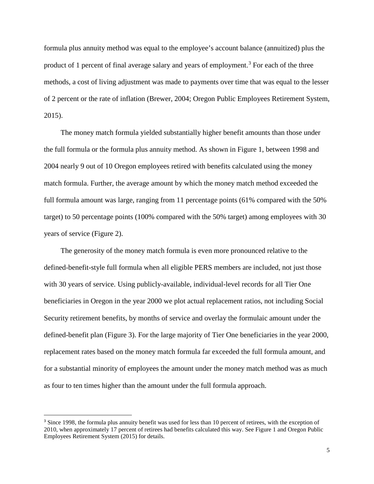formula plus annuity method was equal to the employee's account balance (annuitized) plus the product of 1 percent of final average salary and years of employment.<sup>[3](#page-6-0)</sup> For each of the three methods, a cost of living adjustment was made to payments over time that was equal to the lesser of 2 percent or the rate of inflation (Brewer, 2004; Oregon Public Employees Retirement System, 2015).

The money match formula yielded substantially higher benefit amounts than those under the full formula or the formula plus annuity method. As shown in Figure 1, between 1998 and 2004 nearly 9 out of 10 Oregon employees retired with benefits calculated using the money match formula. Further, the average amount by which the money match method exceeded the full formula amount was large, ranging from 11 percentage points (61% compared with the 50% target) to 50 percentage points (100% compared with the 50% target) among employees with 30 years of service (Figure 2).

The generosity of the money match formula is even more pronounced relative to the defined-benefit-style full formula when all eligible PERS members are included, not just those with 30 years of service. Using publicly-available, individual-level records for all Tier One beneficiaries in Oregon in the year 2000 we plot actual replacement ratios, not including Social Security retirement benefits, by months of service and overlay the formulaic amount under the defined-benefit plan (Figure 3). For the large majority of Tier One beneficiaries in the year 2000, replacement rates based on the money match formula far exceeded the full formula amount, and for a substantial minority of employees the amount under the money match method was as much as four to ten times higher than the amount under the full formula approach.

l

<span id="page-6-0"></span><sup>&</sup>lt;sup>3</sup> Since 1998, the formula plus annuity benefit was used for less than 10 percent of retirees, with the exception of 2010, when approximately 17 percent of retirees had benefits calculated this way. See Figure 1 and Oregon Public Employees Retirement System (2015) for details.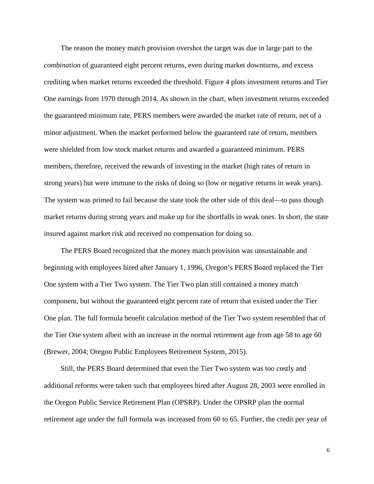The reason the money match provision overshot the target was due in large part to the *combination* of guaranteed eight percent returns, even during market downturns, and excess crediting when market returns exceeded the threshold. Figure 4 plots investment returns and Tier One earnings from 1970 through 2014. As shown in the chart, when investment returns exceeded the guaranteed minimum rate, PERS members were awarded the market rate of return, net of a minor adjustment. When the market performed below the guaranteed rate of return, members were shielded from low stock market returns and awarded a guaranteed minimum. PERS members, therefore, received the rewards of investing in the market (high rates of return in strong years) but were immune to the risks of doing so (low or negative returns in weak years). The system was primed to fail because the state took the other side of this deal—to pass though market returns during strong years and make up for the shortfalls in weak ones. In short, the state insured against market risk and received no compensation for doing so.

The PERS Board recognized that the money match provision was unsustainable and beginning with employees hired after January 1, 1996, Oregon's PERS Board replaced the Tier One system with a Tier Two system. The Tier Two plan still contained a money match component, but without the guaranteed eight percent rate of return that existed under the Tier One plan. The full formula benefit calculation method of the Tier Two system resembled that of the Tier One system albeit with an increase in the normal retirement age from age 58 to age 60 (Brewer, 2004; Oregon Public Employees Retirement System, 2015).

Still, the PERS Board determined that even the Tier Two system was too costly and additional reforms were taken such that employees hired after August 28, 2003 were enrolled in the Oregon Public Service Retirement Plan (OPSRP). Under the OPSRP plan the normal retirement age under the full formula was increased from 60 to 65. Further, the credit per year of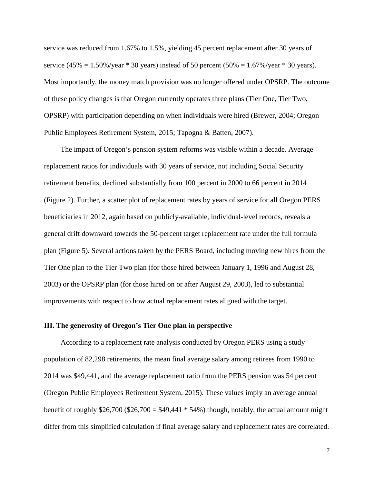service was reduced from 1.67% to 1.5%, yielding 45 percent replacement after 30 years of service (45% = 1.50%/year  $*$  30 years) instead of 50 percent (50% = 1.67%/year  $*$  30 years). Most importantly, the money match provision was no longer offered under OPSRP. The outcome of these policy changes is that Oregon currently operates three plans (Tier One, Tier Two, OPSRP) with participation depending on when individuals were hired (Brewer, 2004; Oregon Public Employees Retirement System, 2015; Tapogna & Batten, 2007).

The impact of Oregon's pension system reforms was visible within a decade. Average replacement ratios for individuals with 30 years of service, not including Social Security retirement benefits, declined substantially from 100 percent in 2000 to 66 percent in 2014 (Figure 2). Further, a scatter plot of replacement rates by years of service for all Oregon PERS beneficiaries in 2012, again based on publicly-available, individual-level records, reveals a general drift downward towards the 50-percent target replacement rate under the full formula plan (Figure 5). Several actions taken by the PERS Board, including moving new hires from the Tier One plan to the Tier Two plan (for those hired between January 1, 1996 and August 28, 2003) or the OPSRP plan (for those hired on or after August 29, 2003), led to substantial improvements with respect to how actual replacement rates aligned with the target.

#### **III. The generosity of Oregon's Tier One plan in perspective**

According to a replacement rate analysis conducted by Oregon PERS using a study population of 82,298 retirements, the mean final average salary among retirees from 1990 to 2014 was \$49,441, and the average replacement ratio from the PERS pension was 54 percent (Oregon Public Employees Retirement System, 2015). These values imply an average annual benefit of roughly \$26,700 (\$26,700 = \$49,441  $*$  54%) though, notably, the actual amount might differ from this simplified calculation if final average salary and replacement rates are correlated.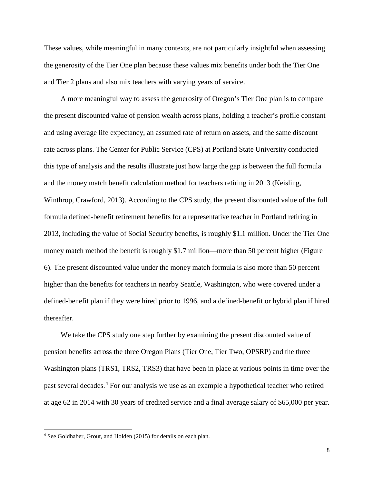These values, while meaningful in many contexts, are not particularly insightful when assessing the generosity of the Tier One plan because these values mix benefits under both the Tier One and Tier 2 plans and also mix teachers with varying years of service.

A more meaningful way to assess the generosity of Oregon's Tier One plan is to compare the present discounted value of pension wealth across plans, holding a teacher's profile constant and using average life expectancy, an assumed rate of return on assets, and the same discount rate across plans. The Center for Public Service (CPS) at Portland State University conducted this type of analysis and the results illustrate just how large the gap is between the full formula and the money match benefit calculation method for teachers retiring in 2013 (Keisling, Winthrop, Crawford, 2013). According to the CPS study, the present discounted value of the full formula defined-benefit retirement benefits for a representative teacher in Portland retiring in 2013, including the value of Social Security benefits, is roughly \$1.1 million. Under the Tier One money match method the benefit is roughly \$1.7 million—more than 50 percent higher (Figure 6). The present discounted value under the money match formula is also more than 50 percent higher than the benefits for teachers in nearby Seattle, Washington, who were covered under a defined-benefit plan if they were hired prior to 1996, and a defined-benefit or hybrid plan if hired thereafter.

We take the CPS study one step further by examining the present discounted value of pension benefits across the three Oregon Plans (Tier One, Tier Two, OPSRP) and the three Washington plans (TRS1, TRS2, TRS3) that have been in place at various points in time over the past several decades.<sup>[4](#page-9-0)</sup> For our analysis we use as an example a hypothetical teacher who retired at age 62 in 2014 with 30 years of credited service and a final average salary of \$65,000 per year.

l

<span id="page-9-0"></span><sup>4</sup> See Goldhaber, Grout, and Holden (2015) for details on each plan.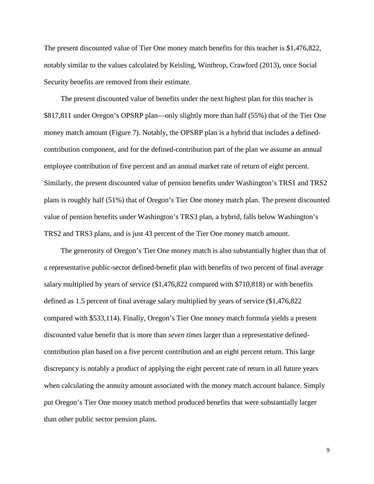The present discounted value of Tier One money match benefits for this teacher is \$1,476,822, notably similar to the values calculated by Keisling, Winthrop, Crawford (2013), once Social Security benefits are removed from their estimate.

The present discounted value of benefits under the next highest plan for this teacher is \$817,811 under Oregon's OPSRP plan—only slightly more than half (55%) that of the Tier One money match amount (Figure 7). Notably, the OPSRP plan is a hybrid that includes a definedcontribution component, and for the defined-contribution part of the plan we assume an annual employee contribution of five percent and an annual market rate of return of eight percent. Similarly, the present discounted value of pension benefits under Washington's TRS1 and TRS2 plans is roughly half (51%) that of Oregon's Tier One money match plan. The present discounted value of pension benefits under Washington's TRS3 plan, a hybrid, falls below Washington's TRS2 and TRS3 plans, and is just 43 percent of the Tier One money match amount.

The generosity of Oregon's Tier One money match is also substantially higher than that of a representative public-sector defined-benefit plan with benefits of two percent of final average salary multiplied by years of service (\$1,476,822 compared with \$710,818) or with benefits defined as 1.5 percent of final average salary multiplied by years of service (\$1,476,822 compared with \$533,114). Finally, Oregon's Tier One money match formula yields a present discounted value benefit that is more than *seven times* larger than a representative definedcontribution plan based on a five percent contribution and an eight percent return. This large discrepancy is notably a product of applying the eight percent rate of return in all future years when calculating the annuity amount associated with the money match account balance. Simply put Oregon's Tier One money match method produced benefits that were substantially larger than other public sector pension plans.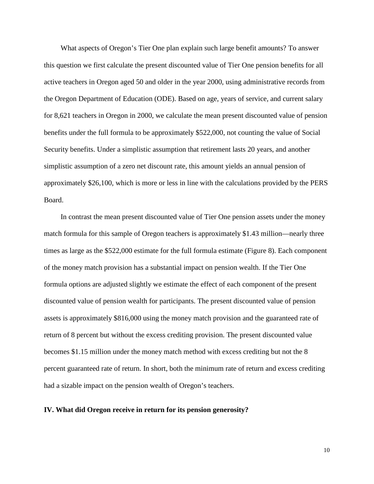What aspects of Oregon's Tier One plan explain such large benefit amounts? To answer this question we first calculate the present discounted value of Tier One pension benefits for all active teachers in Oregon aged 50 and older in the year 2000, using administrative records from the Oregon Department of Education (ODE). Based on age, years of service, and current salary for 8,621 teachers in Oregon in 2000, we calculate the mean present discounted value of pension benefits under the full formula to be approximately \$522,000, not counting the value of Social Security benefits. Under a simplistic assumption that retirement lasts 20 years, and another simplistic assumption of a zero net discount rate, this amount yields an annual pension of approximately \$26,100, which is more or less in line with the calculations provided by the PERS Board.

In contrast the mean present discounted value of Tier One pension assets under the money match formula for this sample of Oregon teachers is approximately \$1.43 million—nearly three times as large as the \$522,000 estimate for the full formula estimate (Figure 8). Each component of the money match provision has a substantial impact on pension wealth. If the Tier One formula options are adjusted slightly we estimate the effect of each component of the present discounted value of pension wealth for participants. The present discounted value of pension assets is approximately \$816,000 using the money match provision and the guaranteed rate of return of 8 percent but without the excess crediting provision. The present discounted value becomes \$1.15 million under the money match method with excess crediting but not the 8 percent guaranteed rate of return. In short, both the minimum rate of return and excess crediting had a sizable impact on the pension wealth of Oregon's teachers.

#### **IV. What did Oregon receive in return for its pension generosity?**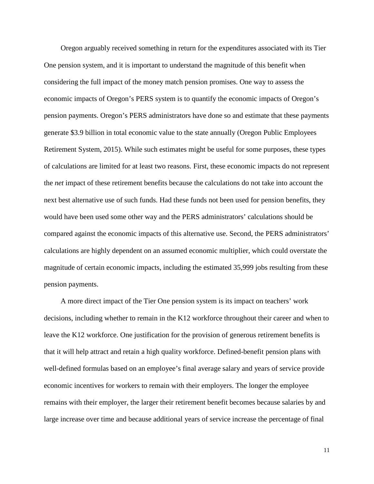Oregon arguably received something in return for the expenditures associated with its Tier One pension system, and it is important to understand the magnitude of this benefit when considering the full impact of the money match pension promises. One way to assess the economic impacts of Oregon's PERS system is to quantify the economic impacts of Oregon's pension payments. Oregon's PERS administrators have done so and estimate that these payments generate \$3.9 billion in total economic value to the state annually (Oregon Public Employees Retirement System, 2015). While such estimates might be useful for some purposes, these types of calculations are limited for at least two reasons. First, these economic impacts do not represent the *net* impact of these retirement benefits because the calculations do not take into account the next best alternative use of such funds. Had these funds not been used for pension benefits, they would have been used some other way and the PERS administrators' calculations should be compared against the economic impacts of this alternative use. Second, the PERS administrators' calculations are highly dependent on an assumed economic multiplier, which could overstate the magnitude of certain economic impacts, including the estimated 35,999 jobs resulting from these pension payments.

A more direct impact of the Tier One pension system is its impact on teachers' work decisions, including whether to remain in the K12 workforce throughout their career and when to leave the K12 workforce. One justification for the provision of generous retirement benefits is that it will help attract and retain a high quality workforce. Defined-benefit pension plans with well-defined formulas based on an employee's final average salary and years of service provide economic incentives for workers to remain with their employers. The longer the employee remains with their employer, the larger their retirement benefit becomes because salaries by and large increase over time and because additional years of service increase the percentage of final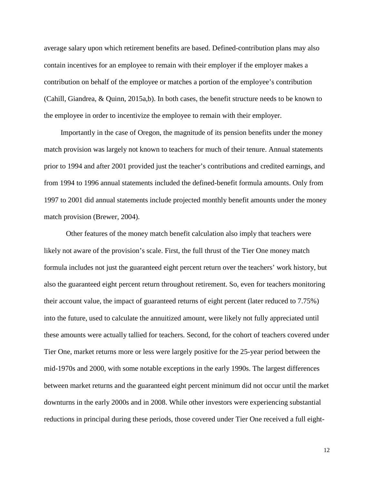average salary upon which retirement benefits are based. Defined-contribution plans may also contain incentives for an employee to remain with their employer if the employer makes a contribution on behalf of the employee or matches a portion of the employee's contribution (Cahill, Giandrea, & Quinn, 2015a,b). In both cases, the benefit structure needs to be known to the employee in order to incentivize the employee to remain with their employer.

Importantly in the case of Oregon, the magnitude of its pension benefits under the money match provision was largely not known to teachers for much of their tenure. Annual statements prior to 1994 and after 2001 provided just the teacher's contributions and credited earnings, and from 1994 to 1996 annual statements included the defined-benefit formula amounts. Only from 1997 to 2001 did annual statements include projected monthly benefit amounts under the money match provision (Brewer, 2004).

Other features of the money match benefit calculation also imply that teachers were likely not aware of the provision's scale. First, the full thrust of the Tier One money match formula includes not just the guaranteed eight percent return over the teachers' work history, but also the guaranteed eight percent return throughout retirement. So, even for teachers monitoring their account value, the impact of guaranteed returns of eight percent (later reduced to 7.75%) into the future, used to calculate the annuitized amount, were likely not fully appreciated until these amounts were actually tallied for teachers. Second, for the cohort of teachers covered under Tier One, market returns more or less were largely positive for the 25-year period between the mid-1970s and 2000, with some notable exceptions in the early 1990s. The largest differences between market returns and the guaranteed eight percent minimum did not occur until the market downturns in the early 2000s and in 2008. While other investors were experiencing substantial reductions in principal during these periods, those covered under Tier One received a full eight-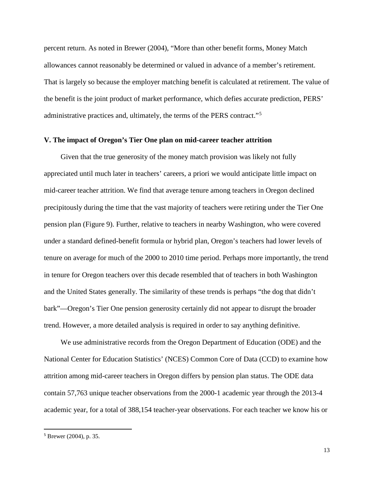percent return. As noted in Brewer (2004), "More than other benefit forms, Money Match allowances cannot reasonably be determined or valued in advance of a member's retirement. That is largely so because the employer matching benefit is calculated at retirement. The value of the benefit is the joint product of market performance, which defies accurate prediction, PERS' administrative practices and, ultimately, the terms of the PERS contract."<sup>[5](#page-14-0)</sup>

#### **V. The impact of Oregon's Tier One plan on mid-career teacher attrition**

Given that the true generosity of the money match provision was likely not fully appreciated until much later in teachers' careers, a priori we would anticipate little impact on mid-career teacher attrition. We find that average tenure among teachers in Oregon declined precipitously during the time that the vast majority of teachers were retiring under the Tier One pension plan (Figure 9). Further, relative to teachers in nearby Washington, who were covered under a standard defined-benefit formula or hybrid plan, Oregon's teachers had lower levels of tenure on average for much of the 2000 to 2010 time period. Perhaps more importantly, the trend in tenure for Oregon teachers over this decade resembled that of teachers in both Washington and the United States generally. The similarity of these trends is perhaps "the dog that didn't bark"—Oregon's Tier One pension generosity certainly did not appear to disrupt the broader trend. However, a more detailed analysis is required in order to say anything definitive.

We use administrative records from the Oregon Department of Education (ODE) and the National Center for Education Statistics' (NCES) Common Core of Data (CCD) to examine how attrition among mid-career teachers in Oregon differs by pension plan status. The ODE data contain 57,763 unique teacher observations from the 2000-1 academic year through the 2013-4 academic year, for a total of 388,154 teacher-year observations. For each teacher we know his or

l

<span id="page-14-0"></span><sup>5</sup> Brewer (2004), p. 35.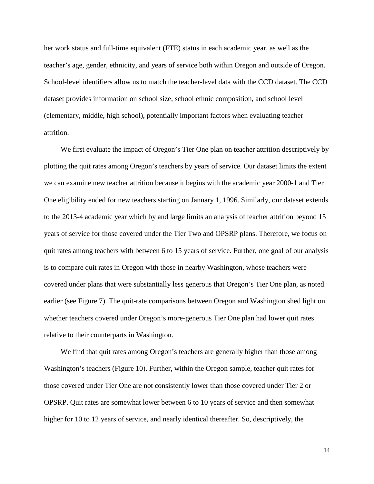her work status and full-time equivalent (FTE) status in each academic year, as well as the teacher's age, gender, ethnicity, and years of service both within Oregon and outside of Oregon. School-level identifiers allow us to match the teacher-level data with the CCD dataset. The CCD dataset provides information on school size, school ethnic composition, and school level (elementary, middle, high school), potentially important factors when evaluating teacher attrition.

We first evaluate the impact of Oregon's Tier One plan on teacher attrition descriptively by plotting the quit rates among Oregon's teachers by years of service. Our dataset limits the extent we can examine new teacher attrition because it begins with the academic year 2000-1 and Tier One eligibility ended for new teachers starting on January 1, 1996. Similarly, our dataset extends to the 2013-4 academic year which by and large limits an analysis of teacher attrition beyond 15 years of service for those covered under the Tier Two and OPSRP plans. Therefore, we focus on quit rates among teachers with between 6 to 15 years of service. Further, one goal of our analysis is to compare quit rates in Oregon with those in nearby Washington, whose teachers were covered under plans that were substantially less generous that Oregon's Tier One plan, as noted earlier (see Figure 7). The quit-rate comparisons between Oregon and Washington shed light on whether teachers covered under Oregon's more-generous Tier One plan had lower quit rates relative to their counterparts in Washington.

We find that quit rates among Oregon's teachers are generally higher than those among Washington's teachers (Figure 10). Further, within the Oregon sample, teacher quit rates for those covered under Tier One are not consistently lower than those covered under Tier 2 or OPSRP. Quit rates are somewhat lower between 6 to 10 years of service and then somewhat higher for 10 to 12 years of service, and nearly identical thereafter. So, descriptively, the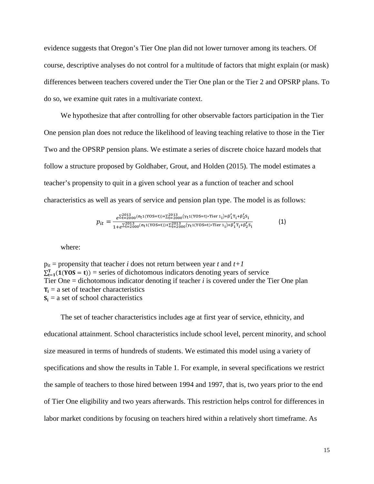evidence suggests that Oregon's Tier One plan did not lower turnover among its teachers. Of course, descriptive analyses do not control for a multitude of factors that might explain (or mask) differences between teachers covered under the Tier One plan or the Tier 2 and OPSRP plans. To do so, we examine quit rates in a multivariate context.

We hypothesize that after controlling for other observable factors participation in the Tier One pension plan does not reduce the likelihood of leaving teaching relative to those in the Tier Two and the OPSRP pension plans. We estimate a series of discrete choice hazard models that follow a structure proposed by Goldhaber, Grout, and Holden (2015). The model estimates a teacher's propensity to quit in a given school year as a function of teacher and school characteristics as well as years of service and pension plan type. The model is as follows:

$$
p_{it} = \frac{e^{\sum_{t=2000}^{2013} (\sigma_t 1(YOS=t)) + \sum_{t=2000}^{2013} (\gamma_t 1(YOS=t)) + \sum_{t=2000}^{2013} (\gamma_t 1(YOS=t)) + \sum_{t=2000}^{2013} (\gamma_t 1(YOS=t)) + \sum_{t=2000}^{2013} (\gamma_t 1(YOS=t)) + \sum_{t=2000}^{2013} (\gamma_t 1(YOS=t)) + \sum_{t=2000}^{2013} (\gamma_t 1(YOS=t)) + \sum_{t=2000}^{2013} (\gamma_t 1(YOS=t)) + \sum_{t=2000}^{2013} (\gamma_t 1(YOS=t)) + \sum_{t=2000}^{2013} (\gamma_t 1(YOS=t)) + \sum_{t=2000}^{2013} (\gamma_t 1(YOS=t)) + \sum_{t=2000}^{2013} (\gamma_t 1(YOS=t)) + \sum_{t=2000}^{2013} (\gamma_t 1(YOS=t)) + \sum_{t=2000}^{2013} (\gamma_t 1(YOS=t)) + \sum_{t=2000}^{2013} (\gamma_t 1(YOS=t)) + \sum_{t=2000}^{2013} (\gamma_t 1(YOS=t)) + \sum_{t=2000}^{2013} (\gamma_t 1(YOS=t)) + \sum_{t=2000}^{2013} (\gamma_t 1(YOS=t)) + \sum_{t=2000}^{2013} (\gamma_t 1(YOS=t)) + \sum_{t=2000}^{2013} (\gamma_t 1(YOS=t)) + \sum_{t=2000}^{2013} (\gamma_t 1(YOS=t)) + \sum_{t=2000}^{2013} (\gamma_t 1(YOS=t)) + \sum_{t=2000}^{2013} (\gamma_t 1(YOS=t)) + \sum_{t=2000}^{2013} (\gamma_t 1(YOS=t)) + \sum_{t=2000}^{2013} (\gamma_t 1(YOS=t)) + \sum_{t=2000}^{2013} (\gamma_t 1(YOS=t)) + \sum_{t=2000}^{2013} (\gamma_t 1(YOS=t)) + \sum_{t=2000}^{2013} (\gamma_t 1(YOS=t)) + \sum_{t=2000}^{2013} (\gamma_t 1
$$

where:

 $p_{it}$  = propensity that teacher *i* does not return between year *t* and  $t+1$  $\sum_{t=1}^{T} (1(YOS = t))$  = series of dichotomous indicators denoting years of service Tier One = dichotomous indicator denoting if teacher *i* is covered under the Tier One plan  $T_i$  = a set of teacher characteristics  $S_i$  = a set of school characteristics

The set of teacher characteristics includes age at first year of service, ethnicity, and educational attainment. School characteristics include school level, percent minority, and school size measured in terms of hundreds of students. We estimated this model using a variety of specifications and show the results in Table 1. For example, in several specifications we restrict the sample of teachers to those hired between 1994 and 1997, that is, two years prior to the end of Tier One eligibility and two years afterwards. This restriction helps control for differences in labor market conditions by focusing on teachers hired within a relatively short timeframe. As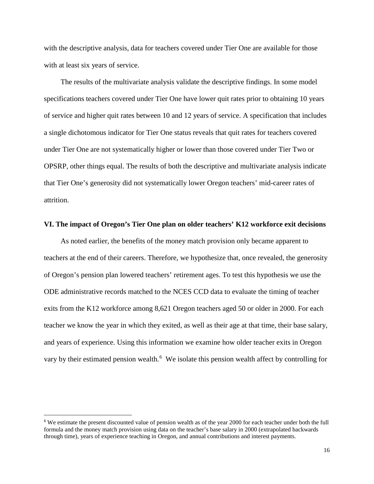with the descriptive analysis, data for teachers covered under Tier One are available for those with at least six years of service.

The results of the multivariate analysis validate the descriptive findings. In some model specifications teachers covered under Tier One have lower quit rates prior to obtaining 10 years of service and higher quit rates between 10 and 12 years of service. A specification that includes a single dichotomous indicator for Tier One status reveals that quit rates for teachers covered under Tier One are not systematically higher or lower than those covered under Tier Two or OPSRP, other things equal. The results of both the descriptive and multivariate analysis indicate that Tier One's generosity did not systematically lower Oregon teachers' mid-career rates of attrition.

#### **VI. The impact of Oregon's Tier One plan on older teachers' K12 workforce exit decisions**

As noted earlier, the benefits of the money match provision only became apparent to teachers at the end of their careers. Therefore, we hypothesize that, once revealed, the generosity of Oregon's pension plan lowered teachers' retirement ages. To test this hypothesis we use the ODE administrative records matched to the NCES CCD data to evaluate the timing of teacher exits from the K12 workforce among 8,621 Oregon teachers aged 50 or older in 2000. For each teacher we know the year in which they exited, as well as their age at that time, their base salary, and years of experience. Using this information we examine how older teacher exits in Oregon vary by their estimated pension wealth.<sup>[6](#page-17-0)</sup> We isolate this pension wealth affect by controlling for

l

<span id="page-17-0"></span><sup>&</sup>lt;sup>6</sup> We estimate the present discounted value of pension wealth as of the year 2000 for each teacher under both the full formula and the money match provision using data on the teacher's base salary in 2000 (extrapolated backwards through time), years of experience teaching in Oregon, and annual contributions and interest payments.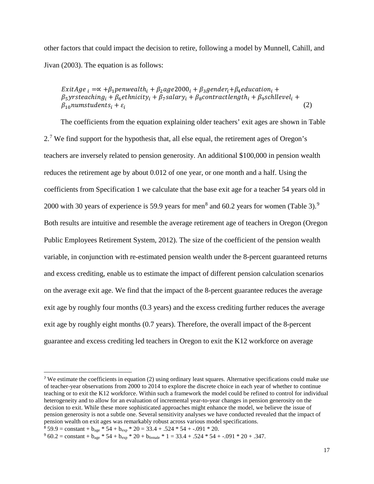other factors that could impact the decision to retire, following a model by Munnell, Cahill, and Jivan (2003). The equation is as follows:

ExitAge  $_i = \propto +\beta_1$  penwealth  $_i + \beta_2$  age 2000  $_i + \beta_3$  gender  $_i + \beta_4$  education  $_i +$  $\beta_5 y r steaching_i + \beta_6ethnicity_i + \beta_7 salary_i + \beta_8 contractlength_i + \beta_9 schlevel_i +$  $\beta_{10}$ numstudents<sub>i</sub> +  $\varepsilon_i$  (2)

The coefficients from the equation explaining older teachers' exit ages are shown in Table 2.<sup>[7](#page-18-0)</sup> We find support for the hypothesis that, all else equal, the retirement ages of Oregon's teachers are inversely related to pension generosity. An additional \$100,000 in pension wealth reduces the retirement age by about 0.012 of one year, or one month and a half. Using the coefficients from Specification 1 we calculate that the base exit age for a teacher 54 years old in 2000 with 30 years of experience is 59.9 years for men<sup>[8](#page-18-1)</sup> and 60.2 years for women (Table 3).<sup>[9](#page-18-2)</sup> Both results are intuitive and resemble the average retirement age of teachers in Oregon (Oregon Public Employees Retirement System, 2012). The size of the coefficient of the pension wealth variable, in conjunction with re-estimated pension wealth under the 8-percent guaranteed returns and excess crediting, enable us to estimate the impact of different pension calculation scenarios on the average exit age. We find that the impact of the 8-percent guarantee reduces the average exit age by roughly four months (0.3 years) and the excess crediting further reduces the average exit age by roughly eight months (0.7 years). Therefore, the overall impact of the 8-percent guarantee and excess crediting led teachers in Oregon to exit the K12 workforce on average

<span id="page-18-1"></span> $8\,59.9 = \text{constant} + \text{b}_{\text{age}} * 54 + \text{b}_{\text{exp}} * 20 = 33.4 + .524 * 54 + .091 * 20.$ 

l

<span id="page-18-0"></span><sup>&</sup>lt;sup>7</sup> We estimate the coefficients in equation (2) using ordinary least squares. Alternative specifications could make use of teacher-year observations from 2000 to 2014 to explore the discrete choice in each year of whether to continue teaching or to exit the K12 workforce. Within such a framework the model could be refined to control for individual heterogeneity and to allow for an evaluation of incremental year-to-year changes in pension generosity on the decision to exit. While these more sophisticated approaches might enhance the model, we believe the issue of pension generosity is not a subtle one. Several sensitivity analyses we have conducted revealed that the impact of pension wealth on exit ages was remarkably robust across various model specifications.

<span id="page-18-2"></span> $9\,60.2 = \text{constant} + b_{\text{age}} * 54 + b_{\text{exp}} * 20 + b_{\text{female}} * 1 = 33.4 + .524 * 54 + .091 * 20 + .347.$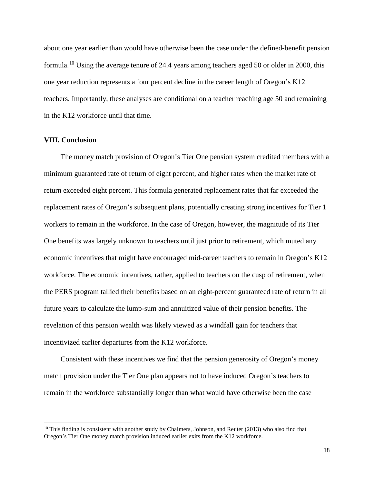about one year earlier than would have otherwise been the case under the defined-benefit pension formula.<sup>10</sup> Using the average tenure of 24.4 years among teachers aged 50 or older in 2000, this one year reduction represents a four percent decline in the career length of Oregon's K12 teachers. Importantly, these analyses are conditional on a teacher reaching age 50 and remaining in the K12 workforce until that time.

#### **VIII. Conclusion**

 $\overline{\phantom{a}}$ 

The money match provision of Oregon's Tier One pension system credited members with a minimum guaranteed rate of return of eight percent, and higher rates when the market rate of return exceeded eight percent. This formula generated replacement rates that far exceeded the replacement rates of Oregon's subsequent plans, potentially creating strong incentives for Tier 1 workers to remain in the workforce. In the case of Oregon, however, the magnitude of its Tier One benefits was largely unknown to teachers until just prior to retirement, which muted any economic incentives that might have encouraged mid-career teachers to remain in Oregon's K12 workforce. The economic incentives, rather, applied to teachers on the cusp of retirement, when the PERS program tallied their benefits based on an eight-percent guaranteed rate of return in all future years to calculate the lump-sum and annuitized value of their pension benefits. The revelation of this pension wealth was likely viewed as a windfall gain for teachers that incentivized earlier departures from the K12 workforce.

Consistent with these incentives we find that the pension generosity of Oregon's money match provision under the Tier One plan appears not to have induced Oregon's teachers to remain in the workforce substantially longer than what would have otherwise been the case

<span id="page-19-0"></span><sup>&</sup>lt;sup>10</sup> This finding is consistent with another study by Chalmers, Johnson, and Reuter (2013) who also find that Oregon's Tier One money match provision induced earlier exits from the K12 workforce.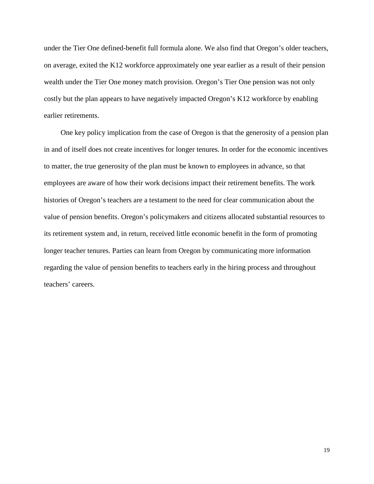under the Tier One defined-benefit full formula alone. We also find that Oregon's older teachers, on average, exited the K12 workforce approximately one year earlier as a result of their pension wealth under the Tier One money match provision. Oregon's Tier One pension was not only costly but the plan appears to have negatively impacted Oregon's K12 workforce by enabling earlier retirements.

One key policy implication from the case of Oregon is that the generosity of a pension plan in and of itself does not create incentives for longer tenures. In order for the economic incentives to matter, the true generosity of the plan must be known to employees in advance, so that employees are aware of how their work decisions impact their retirement benefits. The work histories of Oregon's teachers are a testament to the need for clear communication about the value of pension benefits. Oregon's policymakers and citizens allocated substantial resources to its retirement system and, in return, received little economic benefit in the form of promoting longer teacher tenures. Parties can learn from Oregon by communicating more information regarding the value of pension benefits to teachers early in the hiring process and throughout teachers' careers.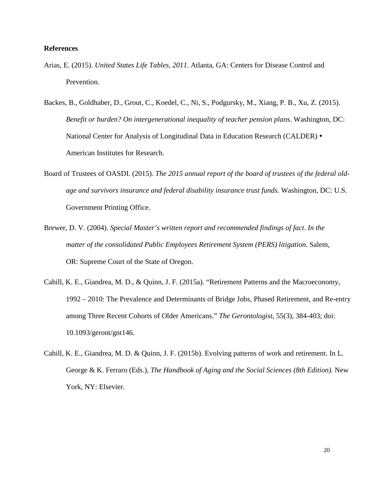### **References**

- Arias, E. (2015). *United States Life Tables, 2011*. Atlanta, GA: Centers for Disease Control and Prevention.
- Backes, B., Goldhaber, D., Grout, C., Koedel, C., Ni, S., Podgursky, M., Xiang, P. B., Xu, Z. (2015). *Benefit or burden? On intergenerational inequality of teacher pension plans*. Washington, DC: National Center for Analysis of Longitudinal Data in Education Research (CALDER) • American Institutes for Research.
- Board of Trustees of OASDI. (2015). *The 2015 annual report of the board of trustees of the federal oldage and survivors insurance and federal disability insurance trust funds.* Washington, DC: U.S. Government Printing Office.
- Brewer, D. V. (2004). *Special Master's written report and recommended findings of fact*. *In the matter of the consolidated Public Employees Retirement System (PERS) litigation.* Salem, OR: Supreme Court of the State of Oregon.
- Cahill, K. E., Giandrea, M. D., & Quinn, J. F. (2015a). "Retirement Patterns and the Macroeconomy, 1992 – 2010: The Prevalence and Determinants of Bridge Jobs, Phased Retirement, and Re-entry among Three Recent Cohorts of Older Americans." *The Gerontologist*, 55(3), 384-403; doi: 10.1093/geront/gnt146.
- Cahill, K. E., Giandrea, M. D. & Quinn, J. F. (2015b). Evolving patterns of work and retirement. In L. George & K. Ferraro (Eds.), *The Handbook of Aging and the Social Sciences (8th Edition).* New York, NY: Elsevier.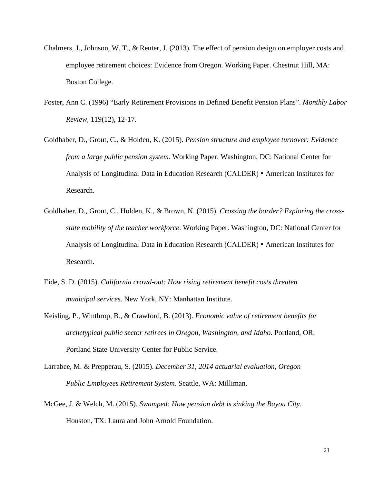- Chalmers, J., Johnson, W. T., & Reuter, J. (2013). The effect of pension design on employer costs and employee retirement choices: Evidence from Oregon. Working Paper. Chestnut Hill, MA: Boston College.
- Foster, Ann C. (1996) "Early Retirement Provisions in Defined Benefit Pension Plans". *Monthly Labor Review,* 119(12), 12-17.
- Goldhaber, D., Grout, C., & Holden, K. (2015). *Pension structure and employee turnover: Evidence from a large public pension system*. Working Paper. Washington, DC: National Center for Analysis of Longitudinal Data in Education Research (CALDER) • American Institutes for Research.
- Goldhaber, D., Grout, C., Holden, K., & Brown, N. (2015). *Crossing the border? Exploring the crossstate mobility of the teacher workforce*. Working Paper. Washington, DC: National Center for Analysis of Longitudinal Data in Education Research (CALDER) • American Institutes for Research.
- Eide, S. D. (2015). *California crowd-out: How rising retirement benefit costs threaten municipal services*. New York, NY: Manhattan Institute.
- Keisling, P., Winthrop, B., & Crawford, B. (2013). *Economic value of retirement benefits for archetypical public sector retirees in Oregon, Washington, and Idaho*. Portland, OR: Portland State University Center for Public Service.
- Larrabee, M. & Prepperau, S. (2015). *December 31, 2014 actuarial evaluation, Oregon Public Employees Retirement System*. Seattle, WA: Milliman.
- McGee, J. & Welch, M. (2015). *Swamped: How pension debt is sinking the Bayou City*. Houston, TX: Laura and John Arnold Foundation.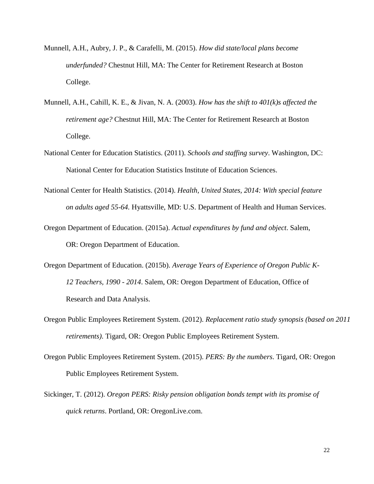- Munnell, A.H., Aubry, J. P., & Carafelli, M. (2015). *How did state/local plans become underfunded?* Chestnut Hill, MA: The Center for Retirement Research at Boston College.
- Munnell, A.H., Cahill, K. E., & Jivan, N. A. (2003). *How has the shift to 401(k)s affected the retirement age?* Chestnut Hill, MA: The Center for Retirement Research at Boston College.
- National Center for Education Statistics. (2011). *Schools and staffing survey*. Washington, DC: National Center for Education Statistics Institute of Education Sciences.
- National Center for Health Statistics. (2014). *Health, United States, 2014: With special feature on adults aged 55-64.* Hyattsville, MD: U.S. Department of Health and Human Services.
- Oregon Department of Education. (2015a). *Actual expenditures by fund and object*. Salem, OR: Oregon Department of Education.
- Oregon Department of Education. (2015b). *Average Years of Experience of Oregon Public K-12 Teachers, 1990 - 2014*. Salem, OR: Oregon Department of Education, Office of Research and Data Analysis.
- Oregon Public Employees Retirement System. (2012). *Replacement ratio study synopsis (based on 2011 retirements)*. Tigard, OR: Oregon Public Employees Retirement System.
- Oregon Public Employees Retirement System. (2015). *PERS: By the numbers*. Tigard, OR: Oregon Public Employees Retirement System.
- Sickinger, T. (2012). *Oregon PERS: Risky pension obligation bonds tempt with its promise of quick returns*. Portland, OR: OregonLive.com.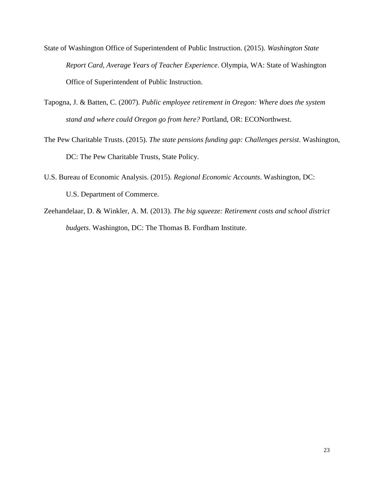State of Washington Office of Superintendent of Public Instruction. (2015). *Washington State Report Card, Average Years of Teacher Experience*. Olympia, WA: State of Washington Office of Superintendent of Public Instruction.

- Tapogna, J. & Batten, C. (2007). *Public employee retirement in Oregon: Where does the system stand and where could Oregon go from here?* Portland, OR: ECONorthwest.
- The Pew Charitable Trusts. (2015). *The state pensions funding gap: Challenges persist*. Washington, DC: The Pew Charitable Trusts, State Policy.
- U.S. Bureau of Economic Analysis. (2015). *Regional Economic Accounts*. Washington, DC: U.S. Department of Commerce.
- Zeehandelaar, D. & Winkler, A. M. (2013). *The big squeeze: Retirement costs and school district budgets*. Washington, DC: The Thomas B. Fordham Institute.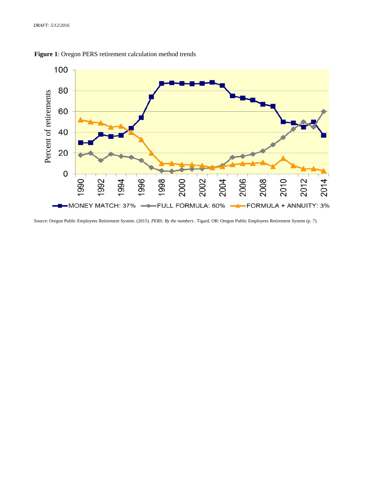

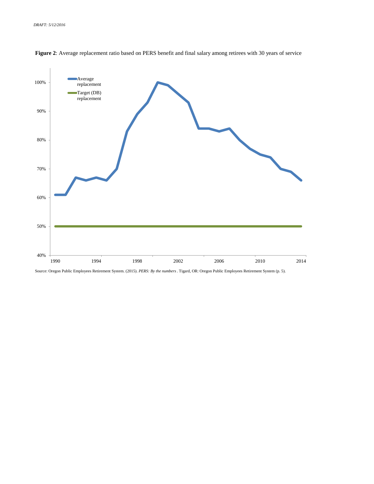

**Figure 2**: Average replacement ratio based on PERS benefit and final salary among retirees with 30 years of service

Source: Oregon Public Employees Retirement System. (2015). *PERS: By the numbers*. Tigard, OR: Oregon Public Employees Retirement System (p. 5).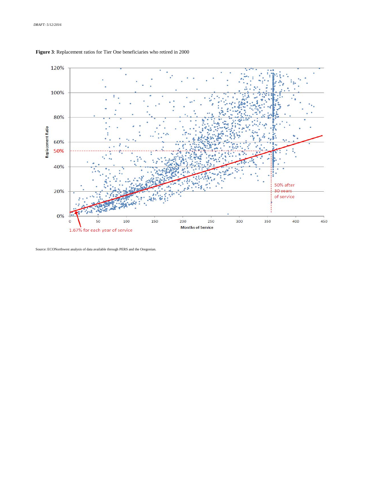

**Figure 3**: Replacement ratios for Tier One beneficiaries who retired in 2000

Source: ECONorthwest analysis of data available through PERS and the Oregonian.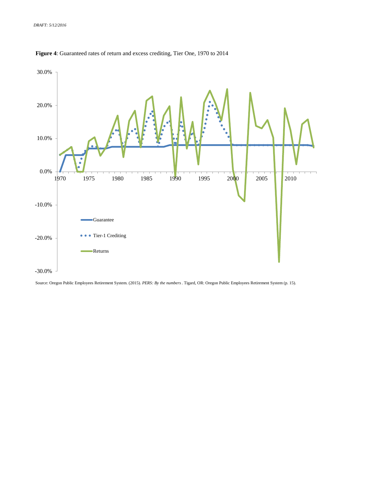

**Figure 4**: Guaranteed rates of return and excess crediting, Tier One, 1970 to 2014

Source: Oregon Public Employees Retirement System. (2015). *PERS: By the numbers*. Tigard, OR: Oregon Public Employees Retirement System (p. 15).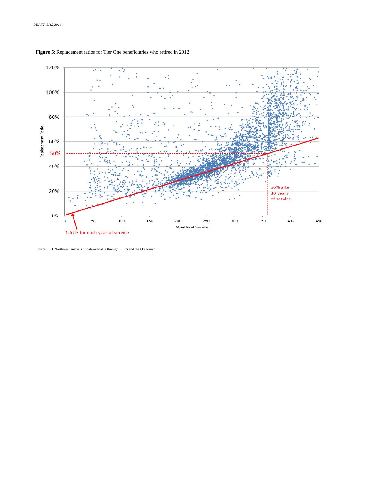

**Figure 5**: Replacement ratios for Tier One beneficiaries who retired in 2012

Source: ECONorthwest analysis of data available through PERS and the Oregonian.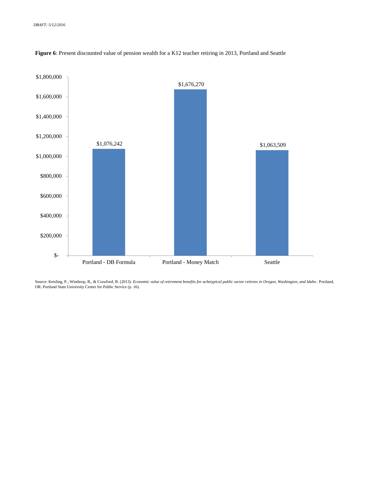



Source: Keisling, P., Winthrop, B., & Crawford, B. (2013). *Economic value of retirement benefits for achetypical public sector retirees in Oregon, Washington, and Idaho* . Portland, OR: Portland State University Center for Public Service (p. 16).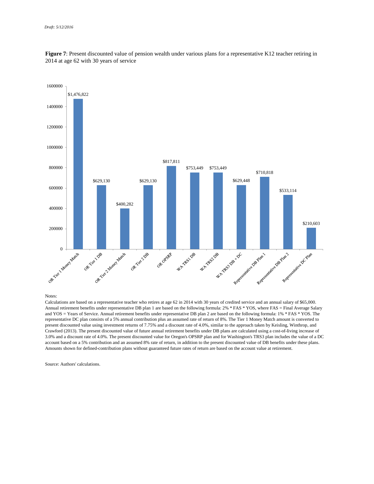

**Figure 7**: Present discounted value of pension wealth under various plans for a representative K12 teacher retiring in 2014 at age 62 with 30 years of service

#### Notes:

Calculations are based on a representative teacher who retires at age 62 in 2014 with 30 years of credited service and an annual salary of \$65,000. Annual retirement benefits under representative DB plan 1 are based on the following formula: 2% \* FAS \* YOS, where FAS = Final Average Salary and YOS = Years of Service. Annual retirement benefits under representative DB plan 2 are based on the following formula: 1% \* FAS \* YOS. The representative DC plan consists of a 5% annual contribution plus an assumed rate of return of 8%. The Tier 1 Money Match amount is converted to present discounted value using investment returns of 7.75% and a discount rate of 4.0%, similar to the approach taken by Keisling, Winthrop, and Crawford (2013). The present discounted value of future annual retirement benefits under DB plans are calculated using a cost-of-living increase of 3.0% and a discount rate of 4.0%. The present discounted value for Oregon's OPSRP plan and for Washington's TRS3 plan includes the value of a DC account based on a 5% contribution and an assumed 8% rate of return, in addition to the present discounted value of DB benefits under these plans. Amounts shown for defined-contribution plans without guaranteed future rates of return are based on the account value at retirement.

Source: Authors' calculations.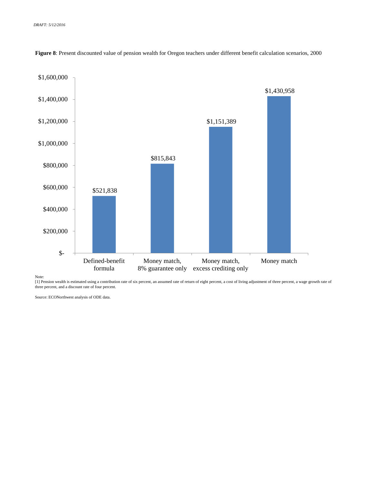

**Figure 8**: Present discounted value of pension wealth for Oregon teachers under different benefit calculation scenarios, 2000

Note:

[1] Pension wealth is estimated using a contribution rate of six percent, an assumed rate of return of eight percent, a cost of living adjustment of three percent, a wage growth rate of three percent, and a discount rate of four percent.

Source: ECONorthwest analysis of ODE data.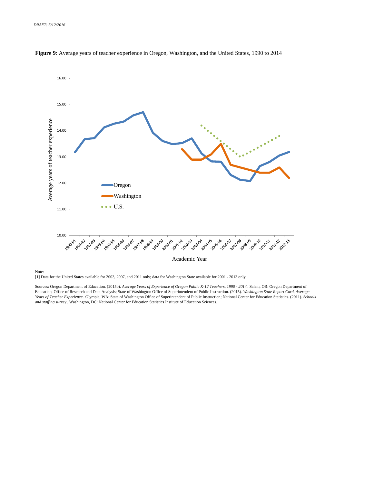



Note:

[1] Data for the United States available for 2003, 2007, and 2011 only; data for Washington State available for 2001 - 2013 only.

Sources: Oregon Department of Education. (2015b). *Average Years of Experience of Oregon Public K-12 Teachers, 1990 - 2014* . Salem, OR: Oregon Department of Education, Office of Research and Data Analysis; State of Washington Office of Superintendent of Public Instruction. (2015). *Washington State Report Card, Average Years of Teacher Experience* . Olympia, WA: State of Washington Office of Superintendent of Public Instruction; National Center for Education Statistics. (2011). *Schools and staffing survey* . Washington, DC: National Center for Education Statistics Institute of Education Sciences.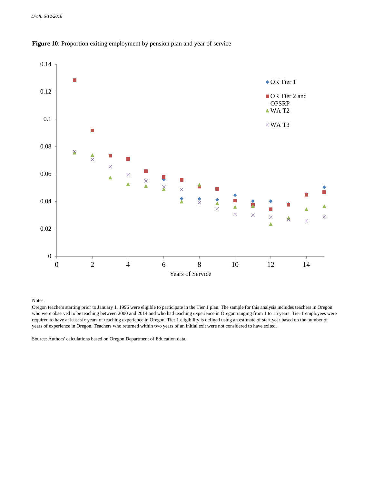



Notes:

Oregon teachers starting prior to January 1, 1996 were eligible to participate in the Tier 1 plan. The sample for this analysis includes teachers in Oregon who were observed to be teaching between 2000 and 2014 and who had teaching experience in Oregon ranging from 1 to 15 years. Tier 1 employees were required to have at least six years of teaching experience in Oregon. Tier 1 eligibility is defined using an estimate of start year based on the number of years of experience in Oregon. Teachers who returned within two years of an initial exit were not considered to have exited.

Source: Authors' calculations based on Oregon Department of Education data.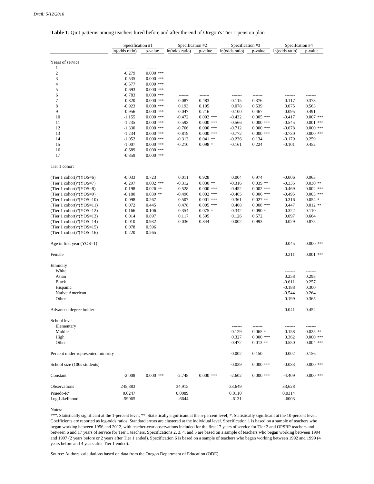|                                    | Specification #1     |                            | Specification #2     |                         | Specification #3     |                | Specification #4     |                |
|------------------------------------|----------------------|----------------------------|----------------------|-------------------------|----------------------|----------------|----------------------|----------------|
|                                    | In(odds ratio)       | p-value                    | In(odds ratio)       | p-value                 | In(odds ratio)       | p-value        | In(odds ratio)       | p-value        |
| Years of service                   |                      |                            |                      |                         |                      |                |                      |                |
| 1                                  |                      |                            |                      |                         |                      |                |                      |                |
| $\overline{c}$                     | $-0.279$             | $0.000$ ***                |                      |                         |                      |                |                      |                |
| 3                                  | $-0.535$             | $0.000$ ***                |                      |                         |                      |                |                      |                |
| $\overline{4}$                     | $-0.577$             | $0.000$ ***                |                      |                         |                      |                |                      |                |
| 5                                  | $-0.693$             | $0.000$ ***                |                      |                         |                      |                |                      |                |
| 6                                  | $-0.783$             | $0.000$ ***                |                      |                         |                      |                |                      |                |
| 7                                  | $-0.820$             | $0.000$ ***                | $-0.087$             | 0.483                   | $-0.115$             | 0.376          | $-0.117$             | 0.378          |
| 8                                  | $-0.923$             | $0.000$ ***                | 0.193                | 0.105                   | 0.078                | 0.539          | 0.075                | 0.563          |
| 9                                  | $-0.956$             | $0.000$ ***                | $-0.047$             | 0.716                   | $-0.100$             | 0.467          | $-0.095$             | 0.491          |
| 10                                 | $-1.155$             | $0.000$ ***                | $-0.472$             | $0.002$ ***             | $-0.432$             | $0.005$ ***    | $-0.417$             | $0.007$ ***    |
| 11                                 | $-1.235$             | $0.000$ ***                | $-0.593$             | $0.000$ ***             | $-0.566$             | $0.000$ ***    | $-0.545$             | $0.001$ ***    |
| 12                                 | $-1.330$             | $0.000$ ***                | $-0.766$             | $0.000$ ***             | $-0.712$             | $0.000$ ***    | $-0.678$             | $0.000$ ***    |
| 13                                 | $-1.234$             | $0.000$ ***                | $-0.819$             | $0.000$ ***             | $-0.772$             | $0.000$ ***    | $-0.730$             | $0.000$ ***    |
| 14<br>15                           | $-1.052$<br>$-1.007$ | $0.000$ ***<br>$0.000$ *** | $-0.313$<br>$-0.210$ | $0.041$ **<br>$0.098 *$ | $-0.236$<br>$-0.161$ | 0.134<br>0.224 | $-0.179$<br>$-0.101$ | 0.259<br>0.452 |
| 16                                 | $-0.689$             | $0.000$ ***                |                      |                         |                      |                |                      |                |
| 17                                 | $-0.859$             | $0.000$ ***                |                      |                         |                      |                |                      |                |
|                                    |                      |                            |                      |                         |                      |                |                      |                |
| Tier 1 cohort                      |                      |                            |                      |                         |                      |                |                      |                |
| (Tier 1 cohort)*( $YOS=6$ )        | $-0.033$             | 0.723                      | 0.011                | 0.928                   | 0.004                | 0.974          | $-0.006$             | 0.963          |
| (Tier 1 cohort)*( $YOS=7$ )        | $-0.297$             | $0.002$ ***                | $-0.312$             | $0.030**$               | $-0.316$             | $0.039$ **     | $-0.335$             | $0.030**$      |
| (Tier 1 cohort)*( $YOS=8$ )        | $-0.198$             | $0.026$ **                 | $-0.528$             | $0.000$ ***             | $-0.452$             | $0.002$ ***    | $-0.469$             | $0.002$ ***    |
| (Tier 1 cohort)*( $YOS=9$ )        | $-0.180$             | $0.039**$                  | $-0.496$             | $0.002$ ***             | $-0.465$             | $0.006$ ***    | $-0.495$             | $0.003$ ***    |
| (Tier 1 cohort)*(YOS=10)           | 0.098                | 0.267                      | 0.507                | $0.001$ ***             | 0.361                | $0.027$ **     | 0.316                | $0.054*$       |
| (Tier 1 cohort)*( $YOS=11$ )       | 0.072                | 0.445                      | 0.478                | $0.005$ ***             | 0.468                | $0.008$ ***    | 0.447                | $0.012$ **     |
| (Tier 1 cohort)*( $YOS=12$ )       | 0.166                | 0.106                      | 0.354                | $0.075*$                | 0.342                | $0.090*$       | 0.322                | 0.110          |
| (Tier 1 cohort)*( $YOS=13$ )       | 0.014                | 0.897                      | 0.117                | 0.595                   | 0.126                | 0.572          | 0.097                | 0.664          |
| (Tier 1 cohort)*( $YOS=14$ )       | 0.010                | 0.932                      | 0.036                | 0.844                   | 0.002                | 0.993          | $-0.029$             | 0.875          |
| (Tier 1 cohort)*( $YOS=15$ )       | 0.078                | 0.596                      |                      |                         |                      |                |                      |                |
| (Tier 1 cohort)*( $YOS=16$ )       | $-0.220$             | 0.265                      |                      |                         |                      |                |                      |                |
| Age in first year $(YOS=1)$        |                      |                            |                      |                         |                      |                | 0.045                | $0.000$ ***    |
| Female                             |                      |                            |                      |                         |                      |                | 0.211                | $0.001$ ***    |
| Ethnicity                          |                      |                            |                      |                         |                      |                |                      |                |
| White                              |                      |                            |                      |                         |                      |                |                      |                |
| Asian                              |                      |                            |                      |                         |                      |                | 0.258                | 0.298          |
| <b>Black</b>                       |                      |                            |                      |                         |                      |                | $-0.611$             | 0.257          |
| Hispanic                           |                      |                            |                      |                         |                      |                | $-0.188$             | 0.300          |
| Native American                    |                      |                            |                      |                         |                      |                | $-0.544$             | 0.264          |
| Other                              |                      |                            |                      |                         |                      |                | 0.199                | 0.365          |
| Advanced degree holder             |                      |                            |                      |                         |                      |                | 0.041                | 0.452          |
| School level                       |                      |                            |                      |                         |                      |                |                      |                |
| Elementary                         |                      |                            |                      |                         |                      |                |                      |                |
| Middle                             |                      |                            |                      |                         | 0.129                | $0.065*$       | 0.158                | $0.025$ **     |
| High                               |                      |                            |                      |                         | 0.327                | $0.000$ ***    | 0.362                | $0.000$ ***    |
| Other                              |                      |                            |                      |                         | 0.472                | $0.013$ **     | 0.550                | $0.004$ ***    |
| Percent under-represented minority |                      |                            |                      |                         | $-0.002$             | 0.150          | $-0.002$             | 0.156          |
| School size (100s students)        |                      |                            |                      |                         | $-0.039$             | $0.000$ ***    | $-0.033$             | $0.000$ ***    |
| Constant                           | $-2.008$             | $0.000$ ***                | $-2.748$             | $0.000$ ***             | $-2.602$             | $0.000$ ***    | $-4.409$             | $0.000$ ***    |
| Observations                       | 245,883              |                            | 34,915               |                         | 33,649               |                | 33,628               |                |
| Psuedo- $R^2$                      | 0.0247               |                            | 0.0089               |                         | 0.0110               |                | 0.0314               |                |
| Log-Likelihood                     | $-59065$             |                            | $-6644$              |                         | $-6131$              |                | $-6003$              |                |
|                                    |                      |                            |                      |                         |                      |                |                      |                |

Notes:

\*\*\*: Statistically significant at the 1-percent level; \*\*: Statistically significant at the 5-percent level; \*: Statistically significant at the 10-percent level. Coefficients are reported as log-odds ratios. Standard errors are clustered at the individual level. Specification 1 is based on a sample of teachers who began working between 1956 and 2012, with teacher-year observations included for the first 17 years of service for Tier 2 and OPSRP teachers and between 6 and 17 years of service for Tier 1 teachers. Specifications 2, 3, 4, and 5 are based on a sample of teachers who began working between 1994 and 1997 (2 years before or 2 years after Tier 1 ended). Specification 6 is based on a sample of teachers who began working between 1992 and 1999 (4 years before and 4 years after Tier 1 ended).

Source: Authors' calculations based on data from the Oregon Department of Education (ODE).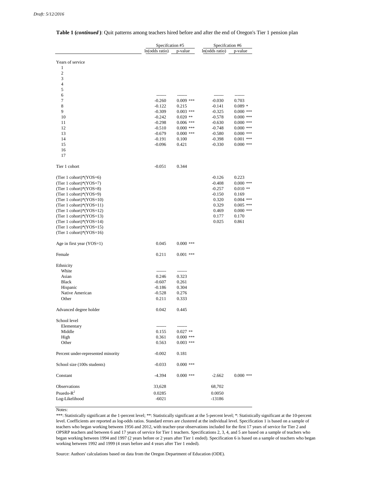| <b>Table 1 (continued)</b> : Quit patterns among teachers hired before and after the end of Oregon's Tier 1 pension plan |  |
|--------------------------------------------------------------------------------------------------------------------------|--|
|--------------------------------------------------------------------------------------------------------------------------|--|

|                                    |                      | Specification #5          |                      | Specification #6           |  |  |
|------------------------------------|----------------------|---------------------------|----------------------|----------------------------|--|--|
|                                    | In(odds ratio)       | p-value                   | In(odds ratio)       | p-value                    |  |  |
| Years of service                   |                      |                           |                      |                            |  |  |
| 1                                  |                      |                           |                      |                            |  |  |
| $\overline{c}$                     |                      |                           |                      |                            |  |  |
| 3                                  |                      |                           |                      |                            |  |  |
| 4<br>5                             |                      |                           |                      |                            |  |  |
| 6                                  |                      |                           |                      |                            |  |  |
| 7                                  | $-0.260$             | $0.009$ ***               | $-0.030$             | 0.703                      |  |  |
| 8                                  | $-0.122$             | 0.215                     | $-0.141$             | $0.089*$                   |  |  |
| 9                                  | $-0.309$             | $0.003$ ***               | $-0.325$             | $0.000$ ***                |  |  |
| 10                                 | $-0.242$             | $0.020$ **                | $-0.578$             | $0.000$ ***                |  |  |
| 11                                 | $-0.298$             | $0.006$ ***               | $-0.630$             | $0.000$ ***                |  |  |
| 12                                 | $-0.510$             | $0.000$ ***               | $-0.748$             | $0.000$ ***                |  |  |
| 13                                 | $-0.679$             | $0.000$ ***               | $-0.580$             | $0.000$ ***                |  |  |
| 14<br>15                           | $-0.191$<br>$-0.096$ | 0.100<br>0.421            | $-0.398$<br>$-0.330$ | $0.001$ ***<br>$0.000$ *** |  |  |
| 16                                 |                      |                           |                      |                            |  |  |
| 17                                 |                      |                           |                      |                            |  |  |
| Tier 1 cohort                      | $-0.051$             | 0.344                     |                      |                            |  |  |
| (Tier 1 cohort)*(YOS=6)            |                      |                           |                      |                            |  |  |
| (Tier 1 cohort)*( $YOS=7$ )        |                      |                           | $-0.126$<br>$-0.408$ | 0.223<br>$0.000$ ***       |  |  |
| (Tier 1 cohort)*(YOS=8)            |                      |                           | $-0.257$             | $0.010**$                  |  |  |
| (Tier 1 cohort)*( $YOS=9$ )        |                      |                           | $-0.150$             | 0.169                      |  |  |
| (Tier 1 cohort)*(YOS=10)           |                      |                           | 0.320                | $0.004$ ***                |  |  |
| (Tier 1 cohort)*( $YOS=11$ )       |                      |                           | 0.329                | $0.005$ ***                |  |  |
| (Tier 1 cohort)*(YOS=12)           |                      |                           | 0.469                | $0.000$ ***                |  |  |
| (Tier 1 cohort)*( $YOS=13$ )       |                      |                           | 0.177                | 0.170                      |  |  |
| (Tier 1 cohort)*(YOS=14)           |                      |                           | 0.025                | 0.861                      |  |  |
| (Tier 1 cohort)*( $YOS=15$ )       |                      |                           |                      |                            |  |  |
| (Tier 1 cohort)*(YOS=16)           |                      |                           |                      |                            |  |  |
| Age in first year $(YOS=1)$        | 0.045                | $0.000$ ***               |                      |                            |  |  |
| Female                             | 0.211                | $0.001$ ***               |                      |                            |  |  |
| Ethnicity                          |                      |                           |                      |                            |  |  |
| White                              |                      |                           |                      |                            |  |  |
| Asian                              | 0.246                | 0.323                     |                      |                            |  |  |
| <b>Black</b>                       | $-0.607$             | 0.261                     |                      |                            |  |  |
| Hispanic<br>Native American        | $-0.186$<br>$-0.528$ | 0.304<br>0.276            |                      |                            |  |  |
| Other                              | 0.211                | 0.333                     |                      |                            |  |  |
|                                    |                      |                           |                      |                            |  |  |
| Advanced degree holder             | 0.042                | 0.445                     |                      |                            |  |  |
| School level                       |                      |                           |                      |                            |  |  |
| Elementary<br>Middle               |                      |                           |                      |                            |  |  |
|                                    | 0.155<br>0.361       | $0.027$ **<br>$0.000$ *** |                      |                            |  |  |
| High<br>Other                      | 0.563                | $0.003$ ***               |                      |                            |  |  |
|                                    |                      |                           |                      |                            |  |  |
| Percent under-represented minority | $-0.002$             | 0.181                     |                      |                            |  |  |
| School size (100s students)        | $-0.033$             | $0.000$ ***               |                      |                            |  |  |
| Constant                           | $-4.394$             | $0.000$ ***               | $-2.662$             | $0.000$ ***                |  |  |
| Observations                       | 33,628               |                           | 68,702               |                            |  |  |
| Psuedo- $R^2$                      | 0.0285               |                           | 0.0050               |                            |  |  |
| Log-Likelihood                     | $-6021$              |                           | -13186               |                            |  |  |

Notes:

\*\*\*: Statistically significant at the 1-percent level; \*\*: Statistically significant at the 5-percent level; \*: Statistically significant at the 10-percent level. Coefficients are reported as log-odds ratios. Standard errors are clustered at the individual level. Specification 1 is based on a sample of teachers who began working between 1956 and 2012, with teacher-year observations included for the first 17 years of service for Tier 2 and OPSRP teachers and between 6 and 17 years of service for Tier 1 teachers. Specifications 2, 3, 4, and 5 are based on a sample of teachers who began working between 1994 and 1997 (2 years before or 2 years after Tier 1 ended). Specification 6 is based on a sample of teachers who began working between 1992 and 1999 (4 years before and 4 years after Tier 1 ended).

Source: Authors' calculations based on data from the Oregon Department of Education (ODE).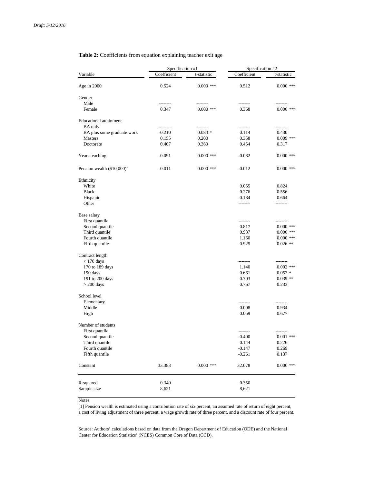#### **Table 2:** Coefficients from equation explaining teacher exit age

|                               | Specification #1 |             | Specification #2 |             |  |
|-------------------------------|------------------|-------------|------------------|-------------|--|
| Variable                      | Coefficient      | t-statistic | Coefficient      | t-statistic |  |
| Age in 2000                   | 0.524            | $0.000$ *** | 0.512            | $0.000$ *** |  |
| Gender                        |                  |             |                  |             |  |
| Male                          |                  |             |                  |             |  |
| Female                        | 0.347            | $0.000$ *** | 0.368            | $0.000$ *** |  |
| <b>Educational attainment</b> |                  |             |                  |             |  |
| <b>BA</b> only                | --------         | --------    | ---------        |             |  |
| BA plus some graduate work    | $-0.210$         | $0.084*$    | 0.114            | 0.430       |  |
| <b>Masters</b>                | 0.155            | 0.200       | 0.358            | $0.009$ *** |  |
| Doctorate                     | 0.407            | 0.369       | 0.454            | 0.317       |  |
| Years teaching                | $-0.091$         | $0.000$ *** | $-0.082$         | $0.000$ *** |  |
| Pension wealth $(\$10,000)^1$ | $-0.011$         | $0.000$ *** | $-0.012$         | $0.000$ *** |  |
| Ethnicity                     |                  |             |                  |             |  |
| White                         |                  |             | 0.055            | 0.824       |  |
| <b>Black</b>                  |                  |             | 0.276            | 0.556       |  |
| Hispanic                      |                  |             | $-0.184$         | 0.664       |  |
| Other                         |                  |             | --------         | --------    |  |
| Base salary                   |                  |             |                  |             |  |
| First quantile                |                  |             | --------         |             |  |
| Second quantile               |                  |             | 0.817            | $0.000$ *** |  |
| Third quantile                |                  |             | 0.937            | $0.000$ *** |  |
| Fourth quantile               |                  |             | 1.160            | $0.000$ *** |  |
| Fifth quantile                |                  |             | 0.925            | $0.026$ **  |  |
| Contract length               |                  |             |                  |             |  |
| $< 170$ days                  |                  |             |                  |             |  |
| 170 to 189 days               |                  |             | 1.140            | $0.002$ *** |  |
| 190 days                      |                  |             | 0.661            | $0.052*$    |  |
| 191 to 200 days               |                  |             | 0.703            | $0.039**$   |  |
| $>$ 200 days                  |                  |             | 0.767            | 0.233       |  |
| School level                  |                  |             |                  |             |  |
| Elementary                    |                  |             |                  | ---------   |  |
| Middle                        |                  |             | 0.008            | 0.934       |  |
| High                          |                  |             | 0.059            | 0.677       |  |
| Number of students            |                  |             |                  |             |  |
| First quantile                |                  |             |                  |             |  |
| Second quantile               |                  |             | $-0.400$         | $0.001$ *** |  |
| Third quantile                |                  |             | $-0.144$         | 0.226       |  |
| Fourth quantile               |                  |             | $-0.147$         | 0.269       |  |
| Fifth quantile                |                  |             | $-0.261$         | 0.137       |  |
| Constant                      | 33.383           | $0.000$ *** | 32.078           | $0.000$ *** |  |
| R-squared                     | 0.340            |             | 0.350            |             |  |
| Sample size                   | 8,621            |             | 8,621            |             |  |
|                               |                  |             |                  |             |  |

#### Notes:

[1] Pension wealth is estimated using a contribution rate of six percent, an assumed rate of return of eight percent, a cost of living adjustment of three percent, a wage growth rate of three percent, and a discount rate of four percent.

Source: Authors' calculations based on data from the Oregon Department of Education (ODE) and the National Center for Education Statistics' (NCES) Common Core of Data (CCD).